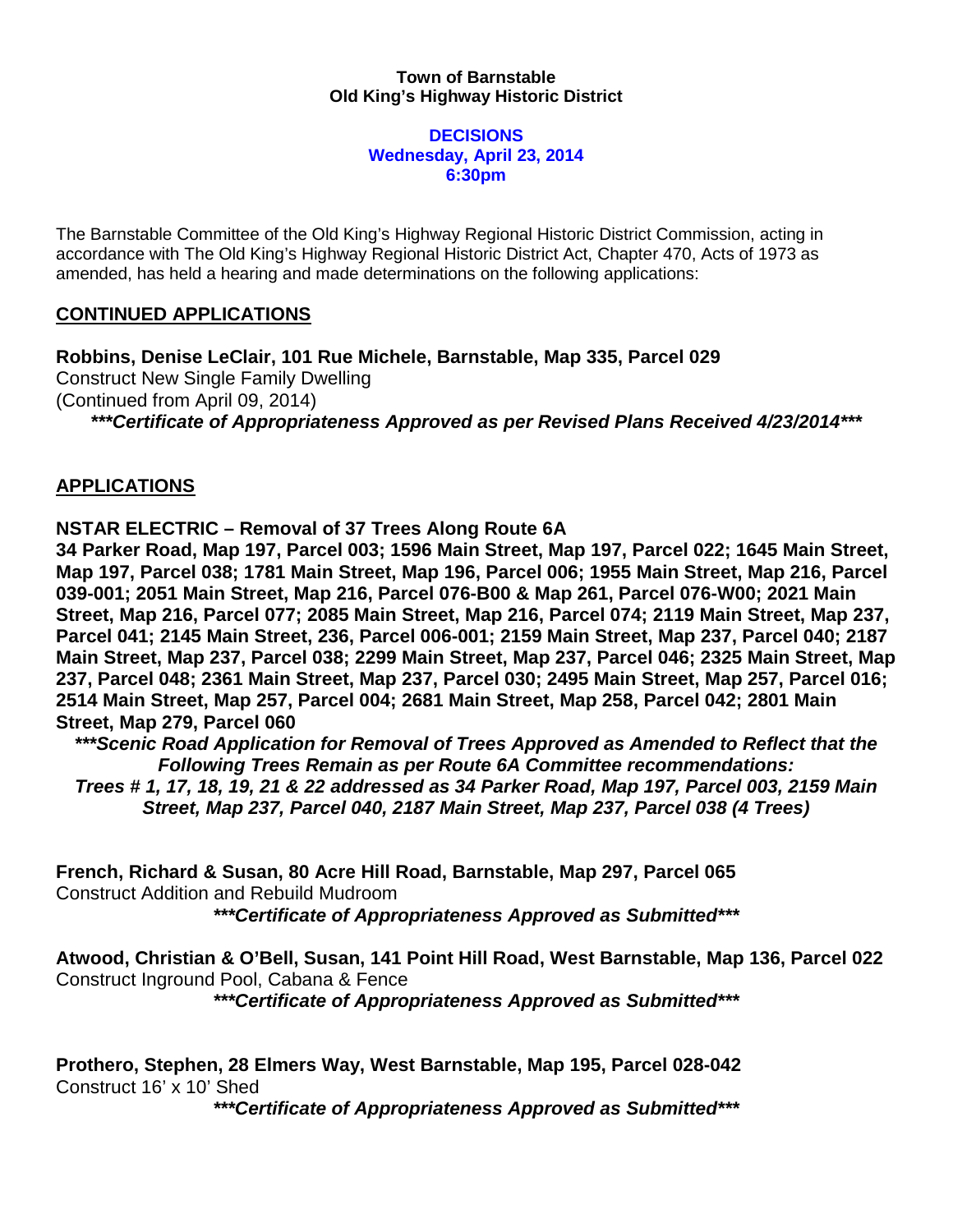## **Town of Barnstable Old King's Highway Historic District**

## **DECISIONS Wednesday, April 23, 2014 6:30pm**

The Barnstable Committee of the Old King's Highway Regional Historic District Commission, acting in accordance with The Old King's Highway Regional Historic District Act, Chapter 470, Acts of 1973 as amended, has held a hearing and made determinations on the following applications:

## **CONTINUED APPLICATIONS**

**Robbins, Denise LeClair, 101 Rue Michele, Barnstable, Map 335, Parcel 029** Construct New Single Family Dwelling (Continued from April 09, 2014) *\*\*\*Certificate of Appropriateness Approved as per Revised Plans Received 4/23/2014\*\*\**

## **APPLICATIONS**

**NSTAR ELECTRIC – Removal of 37 Trees Along Route 6A**

**34 Parker Road, Map 197, Parcel 003; 1596 Main Street, Map 197, Parcel 022; 1645 Main Street, Map 197, Parcel 038; 1781 Main Street, Map 196, Parcel 006; 1955 Main Street, Map 216, Parcel 039-001; 2051 Main Street, Map 216, Parcel 076-B00 & Map 261, Parcel 076-W00; 2021 Main Street, Map 216, Parcel 077; 2085 Main Street, Map 216, Parcel 074; 2119 Main Street, Map 237, Parcel 041; 2145 Main Street, 236, Parcel 006-001; 2159 Main Street, Map 237, Parcel 040; 2187 Main Street, Map 237, Parcel 038; 2299 Main Street, Map 237, Parcel 046; 2325 Main Street, Map 237, Parcel 048; 2361 Main Street, Map 237, Parcel 030; 2495 Main Street, Map 257, Parcel 016; 2514 Main Street, Map 257, Parcel 004; 2681 Main Street, Map 258, Parcel 042; 2801 Main Street, Map 279, Parcel 060**

*\*\*\*Scenic Road Application for Removal of Trees Approved as Amended to Reflect that the Following Trees Remain as per Route 6A Committee recommendations:*

*Trees # 1, 17, 18, 19, 21 & 22 addressed as 34 Parker Road, Map 197, Parcel 003, 2159 Main Street, Map 237, Parcel 040, 2187 Main Street, Map 237, Parcel 038 (4 Trees)*

**French, Richard & Susan, 80 Acre Hill Road, Barnstable, Map 297, Parcel 065** Construct Addition and Rebuild Mudroom *\*\*\*Certificate of Appropriateness Approved as Submitted\*\*\**

**Atwood, Christian & O'Bell, Susan, 141 Point Hill Road, West Barnstable, Map 136, Parcel 022** Construct Inground Pool, Cabana & Fence *\*\*\*Certificate of Appropriateness Approved as Submitted\*\*\**

**Prothero, Stephen, 28 Elmers Way, West Barnstable, Map 195, Parcel 028-042** Construct 16' x 10' Shed

*\*\*\*Certificate of Appropriateness Approved as Submitted\*\*\**